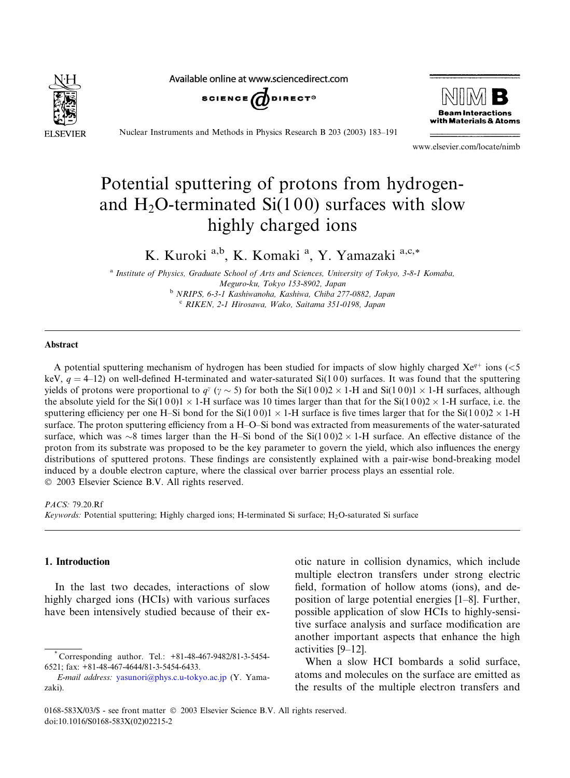

Available online at www.sciencedirect.com





Nuclear Instruments and Methods in Physics Research B 203 (2003) 183–191

www.elsevier.com/locate/nimb

# Potential sputtering of protons from hydrogenand  $H_2O$ -terminated  $Si(100)$  surfaces with slow highly charged ions

K. Kuroki a,b, K. Komaki a, Y. Yamazaki a,c,\*

<sup>a</sup> Institute of Physics, Graduate School of Arts and Sciences, University of Tokyo, 3-8-1 Komaba, Meguro-ku, Tokyo 153-8902, Japan <sup>b</sup> NRIPS, 6-3-1 Kashiwanoha, Kashiwa, Chiba 277-0882, Japan <sup>c</sup> RIKEN, 2-1 Hirosawa, Wako, Saitama 351-0198, Japan

#### Abstract

A potential sputtering mechanism of hydrogen has been studied for impacts of slow highly charged  $Xe^{q+}$  ions (<5 keV,  $q = 4-12$ ) on well-defined H-terminated and water-saturated Si(1 0 0) surfaces. It was found that the sputtering yields of protons were proportional to  $q^{\gamma}$  ( $\gamma \sim 5$ ) for both the Si(100)2 × 1-H and Si(100)1 × 1-H surfaces, although the absolute yield for the Si(100)1  $\times$  1-H surface was 10 times larger than that for the Si(100)2  $\times$  1-H surface, i.e. the sputtering efficiency per one H–Si bond for the Si(100)1  $\times$  1-H surface is five times larger that for the Si(100)2  $\times$  1-H surface. The proton sputtering efficiency from a H–O–Si bond was extracted from measurements of the water-saturated surface, which was  $\sim$ 8 times larger than the H–Si bond of the Si(100)2  $\times$  1-H surface. An effective distance of the proton from its substrate was proposed to be the key parameter to govern the yield, which also influences the energy distributions of sputtered protons. These findings are consistently explained with a pair-wise bond-breaking model induced by a double electron capture, where the classical over barrier process plays an essential role. 2003 Elsevier Science B.V. All rights reserved.

PACS: 79.20.Rf

Keywords: Potential sputtering; Highly charged ions; H-terminated Si surface;  $H_2O$ -saturated Si surface

# 1. Introduction

In the last two decades, interactions of slow highly charged ions (HCIs) with various surfaces have been intensively studied because of their exotic nature in collision dynamics, which include multiple electron transfers under strong electric field, formation of hollow atoms (ions), and deposition of large potential energies [1–8]. Further, possible application of slow HCIs to highly-sensitive surface analysis and surface modification are another important aspects that enhance the high activities [9–12].

When a slow HCI bombards a solid surface, atoms and molecules on the surface are emitted as the results of the multiple electron transfers and

<sup>\*</sup> Corresponding author. Tel.: +81-48-467-9482/81-3-5454- 6521; fax: +81-48-467-4644/81-3-5454-6433.

E-mail address: [yasunori@phys.c.u-tokyo.ac.jp](mail to: yasunori@phys.c.u-tokyo.ac.jp) (Y. Yamazaki).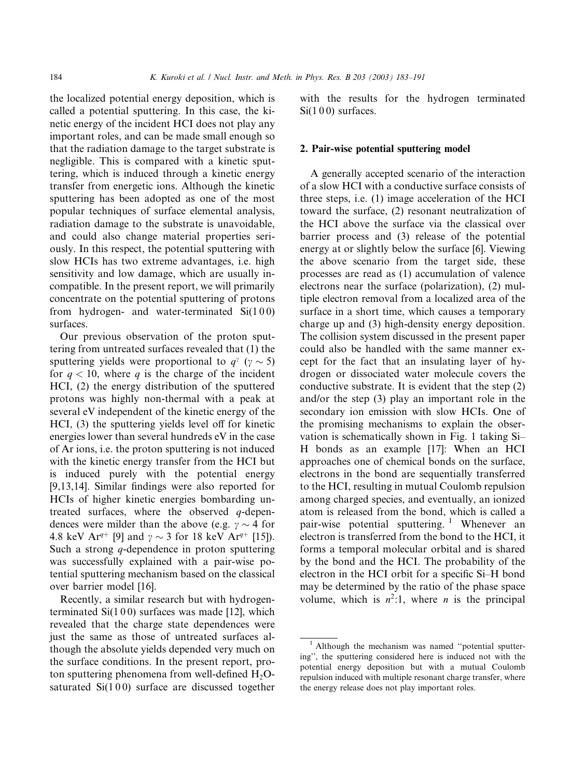the localized potential energy deposition, which is called a potential sputtering. In this case, the kinetic energy of the incident HCI does not play any important roles, and can be made small enough so that the radiation damage to the target substrate is negligible. This is compared with a kinetic sputtering, which is induced through a kinetic energy transfer from energetic ions. Although the kinetic sputtering has been adopted as one of the most popular techniques of surface elemental analysis, radiation damage to the substrate is unavoidable, and could also change material properties seriously. In this respect, the potential sputtering with slow HCIs has two extreme advantages, i.e. high sensitivity and low damage, which are usually incompatible. In the present report, we will primarily concentrate on the potential sputtering of protons from hydrogen- and water-terminated Si(1 0 0) surfaces.

Our previous observation of the proton sputtering from untreated surfaces revealed that (1) the sputtering yields were proportional to  $q^{\gamma}$  ( $\gamma \sim 5$ ) for  $q < 10$ , where q is the charge of the incident HCI, (2) the energy distribution of the sputtered protons was highly non-thermal with a peak at several eV independent of the kinetic energy of the HCI, (3) the sputtering yields level off for kinetic energies lower than several hundreds eV in the case of Ar ions, i.e. the proton sputtering is not induced with the kinetic energy transfer from the HCI but is induced purely with the potential energy [9,13,14]. Similar findings were also reported for HCIs of higher kinetic energies bombarding untreated surfaces, where the observed  $q$ -dependences were milder than the above (e.g.  $\gamma \sim 4$  for 4.8 keV Ar<sup>q+</sup> [9] and  $\gamma \sim 3$  for 18 keV Ar<sup>q+</sup> [15]). Such a strong  $q$ -dependence in proton sputtering was successfully explained with a pair-wise potential sputtering mechanism based on the classical over barrier model [16].

Recently, a similar research but with hydrogenterminated  $Si(100)$  surfaces was made [12], which revealed that the charge state dependences were just the same as those of untreated surfaces although the absolute yields depended very much on the surface conditions. In the present report, proton sputtering phenomena from well-defined  $H_2O$ saturated  $Si(100)$  surface are discussed together with the results for the hydrogen terminated Si(100) surfaces.

# 2. Pair-wise potential sputtering model

A generally accepted scenario of the interaction of a slow HCI with a conductive surface consists of three steps, i.e. (1) image acceleration of the HCI toward the surface, (2) resonant neutralization of the HCI above the surface via the classical over barrier process and (3) release of the potential energy at or slightly below the surface [6]. Viewing the above scenario from the target side, these processes are read as (1) accumulation of valence electrons near the surface (polarization), (2) multiple electron removal from a localized area of the surface in a short time, which causes a temporary charge up and (3) high-density energy deposition. The collision system discussed in the present paper could also be handled with the same manner except for the fact that an insulating layer of hydrogen or dissociated water molecule covers the conductive substrate. It is evident that the step (2) and/or the step (3) play an important role in the secondary ion emission with slow HCIs. One of the promising mechanisms to explain the observation is schematically shown in Fig. 1 taking Si– H bonds as an example [17]: When an HCI approaches one of chemical bonds on the surface, electrons in the bond are sequentially transferred to the HCI, resulting in mutual Coulomb repulsion among charged species, and eventually, an ionized atom is released from the bond, which is called a pair-wise potential sputtering.<sup>1</sup> Whenever an electron is transferred from the bond to the HCI, it forms a temporal molecular orbital and is shared by the bond and the HCI. The probability of the electron in the HCI orbit for a specific Si–H bond may be determined by the ratio of the phase space volume, which is  $n^2:1$ , where *n* is the principal

<sup>&</sup>lt;sup>1</sup> Although the mechanism was named "potential sputtering'', the sputtering considered here is induced not with the potential energy deposition but with a mutual Coulomb repulsion induced with multiple resonant charge transfer, where the energy release does not play important roles.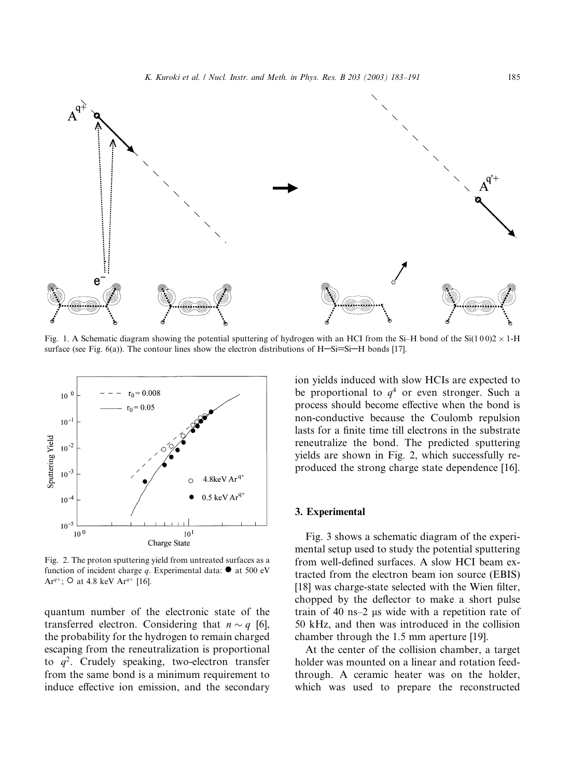

Fig. 1. A Schematic diagram showing the potential sputtering of hydrogen with an HCI from the Si–H bond of the Si(100)2  $\times$  1-H surface (see Fig. 6(a)). The contour lines show the electron distributions of  $H-Si=Si-H$  bonds [17].



Fig. 2. The proton sputtering yield from untreated surfaces as a function of incident charge q. Experimental data:  $\bullet$  at 500 eV Ar<sup>q+</sup>; O at 4.8 keV Ar<sup>q+</sup> [16].

quantum number of the electronic state of the transferred electron. Considering that  $n \sim q$  [6], the probability for the hydrogen to remain charged escaping from the reneutralization is proportional to  $q^2$ . Crudely speaking, two-electron transfer from the same bond is a minimum requirement to induce effective ion emission, and the secondary

ion yields induced with slow HCIs are expected to be proportional to  $q<sup>4</sup>$  or even stronger. Such a process should become effective when the bond is non-conductive because the Coulomb repulsion lasts for a finite time till electrons in the substrate reneutralize the bond. The predicted sputtering yields are shown in Fig. 2, which successfully reproduced the strong charge state dependence [16].

#### 3. Experimental

Fig. 3 shows a schematic diagram of the experimental setup used to study the potential sputtering from well-defined surfaces. A slow HCI beam extracted from the electron beam ion source (EBIS) [18] was charge-state selected with the Wien filter, chopped by the deflector to make a short pulse train of 40 ns–2  $\mu$ s wide with a repetition rate of 50 kHz, and then was introduced in the collision chamber through the 1.5 mm aperture [19].

At the center of the collision chamber, a target holder was mounted on a linear and rotation feedthrough. A ceramic heater was on the holder, which was used to prepare the reconstructed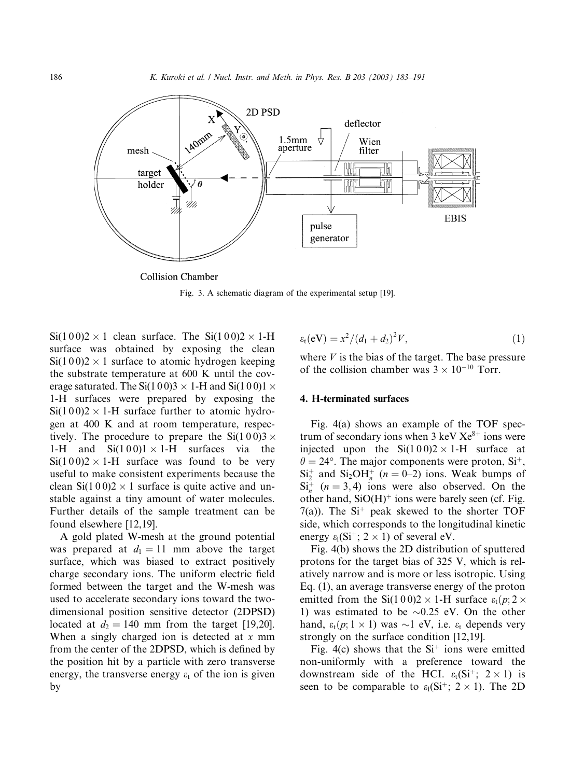

Fig. 3. A schematic diagram of the experimental setup [19].

 $Si(100)2 \times 1$  clean surface. The  $Si(100)2 \times 1$ -H surface was obtained by exposing the clean  $Si(100)2 \times 1$  surface to atomic hydrogen keeping the substrate temperature at 600 K until the coverage saturated. The Si(100)3  $\times$  1-H and Si(100)1  $\times$ 1-H surfaces were prepared by exposing the  $Si(100)2 \times 1$ -H surface further to atomic hydrogen at 400 K and at room temperature, respectively. The procedure to prepare the  $Si(100)3 \times$ 1-H and  $Si(100)1 \times 1$ -H surfaces via the  $Si(100)2 \times 1-H$  surface was found to be very useful to make consistent experiments because the clean  $Si(100)2 \times 1$  surface is quite active and unstable against a tiny amount of water molecules. Further details of the sample treatment can be found elsewhere [12,19].

A gold plated W-mesh at the ground potential was prepared at  $d_1 = 11$  mm above the target surface, which was biased to extract positively charge secondary ions. The uniform electric field formed between the target and the W-mesh was used to accelerate secondary ions toward the twodimensional position sensitive detector (2DPSD) located at  $d_2 = 140$  mm from the target [19,20]. When a singly charged ion is detected at  $x$  mm from the center of the 2DPSD, which is defined by the position hit by a particle with zero transverse energy, the transverse energy  $\varepsilon_t$  of the ion is given by

$$
\varepsilon_{t}(eV) = x^{2}/(d_{1} + d_{2})^{2}V, \qquad (1)
$$

where  $V$  is the bias of the target. The base pressure of the collision chamber was  $3 \times 10^{-10}$  Torr.

# 4. H-terminated surfaces

Fig. 4(a) shows an example of the TOF spectrum of secondary ions when  $3 \text{ keV} Xe^{8+}$  ions were injected upon the  $Si(100)2 \times 1-H$  surface at  $\theta = 24^{\circ}$ . The major components were proton, Si<sup>+</sup>,  $Si_2^+$  and  $Si_2OH_n^+$  (*n* = 0–2) ions. Weak bumps of  $Si_n^+$  ( $n = 3, 4$ ) ions were also observed. On the other hand,  $SiO(H)$ <sup>+</sup> ions were barely seen (cf. Fig. 7(a)). The  $Si<sup>+</sup>$  peak skewed to the shorter TOF side, which corresponds to the longitudinal kinetic energy  $\varepsilon_1(Si^+; 2 \times 1)$  of several eV.

Fig. 4(b) shows the 2D distribution of sputtered protons for the target bias of 325 V, which is relatively narrow and is more or less isotropic. Using Eq. (1), an average transverse energy of the proton emitted from the Si(100)2  $\times$  1-H surface  $\varepsilon_t(p; 2 \times$ 1) was estimated to be  $\sim 0.25$  eV. On the other hand,  $\varepsilon_t(p; 1 \times 1)$  was  $\sim$ 1 eV, i.e.  $\varepsilon_t$  depends very strongly on the surface condition [12,19].

Fig. 4(c) shows that the  $Si<sup>+</sup>$  ions were emitted non-uniformly with a preference toward the downstream side of the HCI.  $\varepsilon_t(Si^+; 2 \times 1)$  is seen to be comparable to  $\varepsilon_1(Si^+; 2 \times 1)$ . The 2D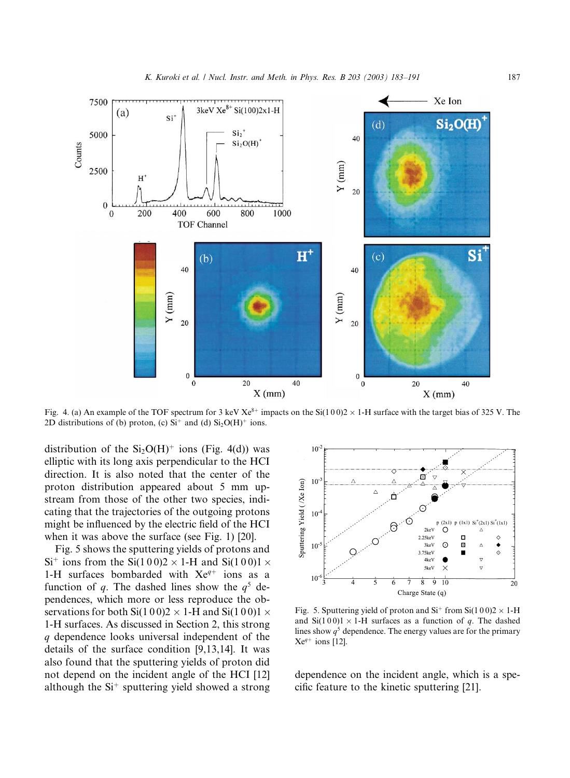

Fig. 4. (a) An example of the TOF spectrum for 3 keV Xe<sup>8+</sup> impacts on the Si(100)2  $\times$  1-H surface with the target bias of 325 V. The 2D distributions of (b) proton, (c)  $Si^+$  and (d)  $Si<sub>2</sub>O(H)<sup>+</sup>$  ions.

distribution of the  $Si<sub>2</sub>O(H)<sup>+</sup>$  ions (Fig. 4(d)) was elliptic with its long axis perpendicular to the HCI direction. It is also noted that the center of the proton distribution appeared about 5 mm upstream from those of the other two species, indicating that the trajectories of the outgoing protons might be influenced by the electric field of the HCI when it was above the surface (see Fig. 1) [20].

Fig. 5 shows the sputtering yields of protons and  $Si<sup>+</sup>$  ions from the Si(100)2  $\times$  1-H and Si(100)1  $\times$ 1-H surfaces bombarded with  $Xe^{q+}$  ions as a function of q. The dashed lines show the  $q^5$  dependences, which more or less reproduce the observations for both Si(100)2  $\times$  1-H and Si(100)1  $\times$ 1-H surfaces. As discussed in Section 2, this strong q dependence looks universal independent of the details of the surface condition [9,13,14]. It was also found that the sputtering yields of proton did not depend on the incident angle of the HCI [12] although the  $Si<sup>+</sup>$  sputtering yield showed a strong



Fig. 5. Sputtering yield of proton and Si<sup>+</sup> from Si(100)2  $\times$  1-H and  $Si(100)1 \times 1-H$  surfaces as a function of q. The dashed lines show  $q^5$  dependence. The energy values are for the primary  $Xe^{q+}$  ions [12].

dependence on the incident angle, which is a specific feature to the kinetic sputtering [21].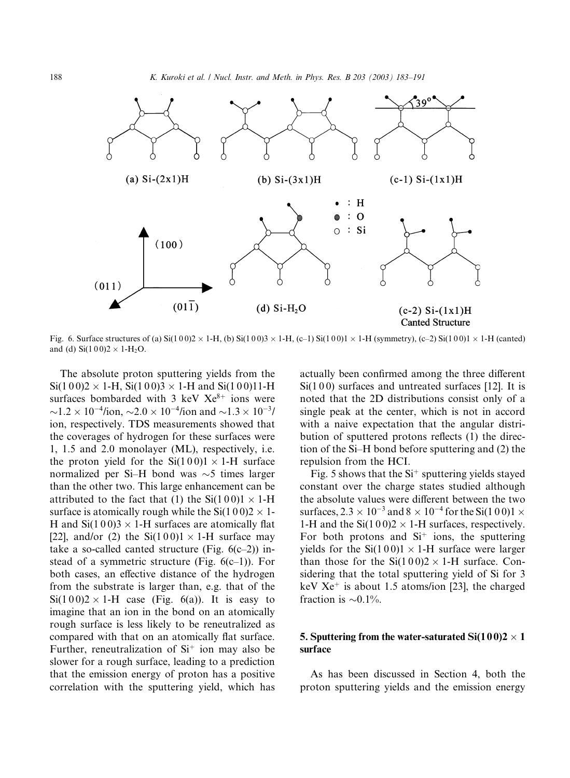

Fig. 6. Surface structures of (a)  $Si(100)2 \times 1-H$ , (b)  $Si(100)3 \times 1-H$ , (c-1)  $Si(100)1 \times 1-H$  (symmetry), (c-2)  $Si(100)1 \times 1-H$  (canted) and (d)  $Si(100)2 \times 1-H_2O$ .

The absolute proton sputtering yields from the  $Si(100)2 \times 1-H$ ,  $Si(100)3 \times 1-H$  and  $Si(100)11-H$ surfaces bombarded with 3 keV  $Xe^{8+}$  ions were  $\sim$ 1.2  $\times$  10<sup>-4</sup>/ion,  $\sim$ 2.0  $\times$  10<sup>-4</sup>/ion and  $\sim$ 1.3  $\times$  10<sup>-3</sup>/ ion, respectively. TDS measurements showed that the coverages of hydrogen for these surfaces were 1, 1.5 and 2.0 monolayer (ML), respectively, i.e. the proton yield for the  $Si(100)1 \times 1-H$  surface normalized per Si–H bond was  $\sim$ 5 times larger than the other two. This large enhancement can be attributed to the fact that (1) the  $Si(100)1 \times 1-H$ surface is atomically rough while the Si(1 0 0)2  $\times$  1-H and  $Si(100)3 \times 1-H$  surfaces are atomically flat [22], and/or (2) the  $Si(100)1 \times 1$ -H surface may take a so-called canted structure (Fig.  $6(c-2)$ ) instead of a symmetric structure (Fig.  $6(c-1)$ ). For both cases, an effective distance of the hydrogen from the substrate is larger than, e.g. that of the  $Si(100)2 \times 1-H$  case (Fig. 6(a)). It is easy to imagine that an ion in the bond on an atomically rough surface is less likely to be reneutralized as compared with that on an atomically flat surface. Further, reneutralization of  $Si<sup>+</sup>$  ion may also be slower for a rough surface, leading to a prediction that the emission energy of proton has a positive correlation with the sputtering yield, which has actually been confirmed among the three different Si(100) surfaces and untreated surfaces [12]. It is noted that the 2D distributions consist only of a single peakat the center, which is not in accord with a naive expectation that the angular distribution of sputtered protons reflects (1) the direction of the Si–H bond before sputtering and (2) the repulsion from the HCI.

Fig. 5 shows that the  $Si<sup>+</sup>$  sputtering yields stayed constant over the charge states studied although the absolute values were different between the two surfaces,  $2.3 \times 10^{-3}$  and  $8 \times 10^{-4}$  for the Si(1 0 0)1  $\times$ 1-H and the  $Si(100)2 \times 1$ -H surfaces, respectively. For both protons and  $Si<sup>+</sup>$  ions, the sputtering yields for the  $Si(100)1 \times 1$ -H surface were larger than those for the  $Si(100)2 \times 1-H$  surface. Considering that the total sputtering yield of Si for 3 keV  $Xe^+$  is about 1.5 atoms/ion [23], the charged fraction is  $\sim 0.1\%$ .

# 5. Sputtering from the water-saturated  $Si(100)2 \times 1$ surface

As has been discussed in Section 4, both the proton sputtering yields and the emission energy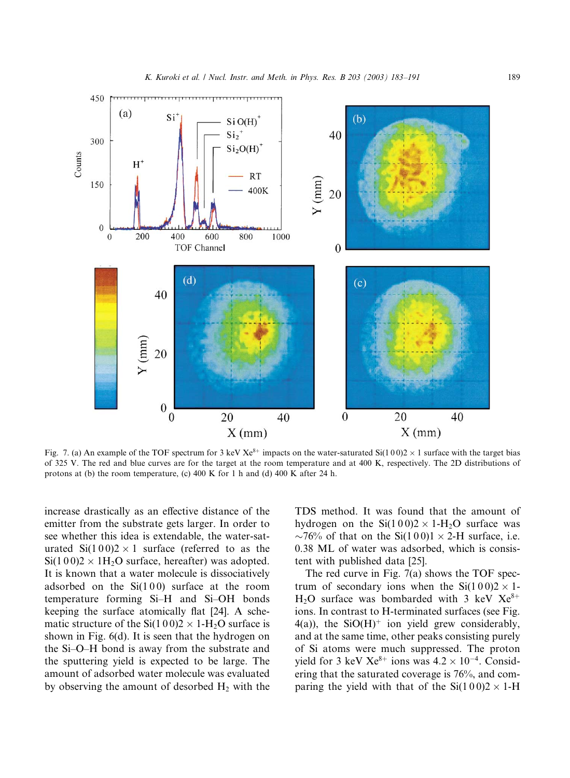

Fig. 7. (a) An example of the TOF spectrum for 3 keV Xe<sup>8+</sup> impacts on the water-saturated Si(100)2  $\times$  1 surface with the target bias of 325 V. The red and blue curves are for the target at the room temperature and at 400 K, respectively. The 2D distributions of protons at (b) the room temperature, (c) 400 K for 1 h and (d) 400 K after 24 h.

increase drastically as an effective distance of the emitter from the substrate gets larger. In order to see whether this idea is extendable, the water-saturated  $Si(100)2 \times 1$  surface (referred to as the  $Si(100)2 \times 1H<sub>2</sub>O$  surface, hereafter) was adopted. It is known that a water molecule is dissociatively adsorbed on the  $Si(100)$  surface at the room temperature forming Si–H and Si–OH bonds keeping the surface atomically flat [24]. A schematic structure of the Si(100)2  $\times$  1-H<sub>2</sub>O surface is shown in Fig. 6(d). It is seen that the hydrogen on the Si–O–H bond is away from the substrate and the sputtering yield is expected to be large. The amount of adsorbed water molecule was evaluated by observing the amount of desorbed  $H_2$  with the TDS method. It was found that the amount of hydrogen on the  $Si(100)2 \times 1-H_2O$  surface was  $\sim$ 76% of that on the Si(100)1  $\times$  2-H surface, i.e. 0.38 ML of water was adsorbed, which is consistent with published data [25].

The red curve in Fig. 7(a) shows the TOF spectrum of secondary ions when the  $Si(100)2 \times 1$ -H<sub>2</sub>O surface was bombarded with 3 keV  $Xe^{8+}$ ions. In contrast to H-terminated surfaces (see Fig.  $4(a)$ ), the SiO(H)<sup>+</sup> ion yield grew considerably, and at the same time, other peaks consisting purely of Si atoms were much suppressed. The proton yield for 3 keV  $Xe^{8+}$  ions was  $4.2 \times 10^{-4}$ . Considering that the saturated coverage is 76%, and comparing the yield with that of the  $Si(100)2 \times 1-H$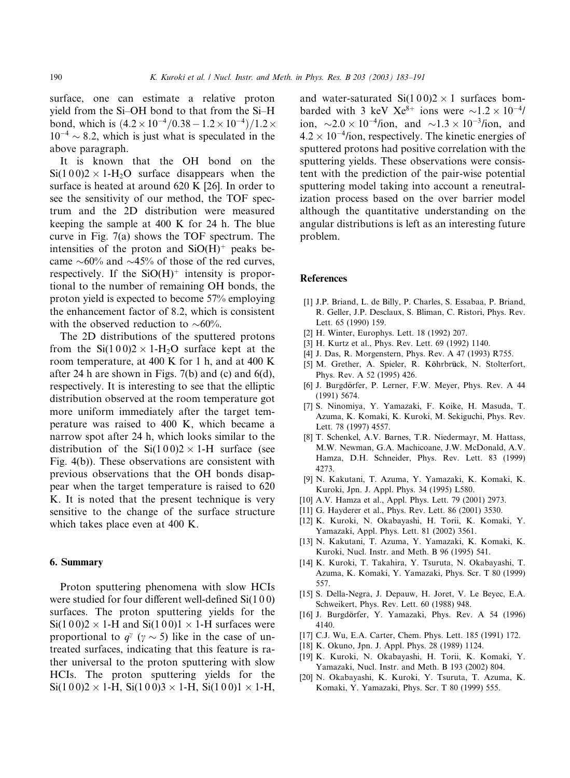surface, one can estimate a relative proton yield from the Si–OH bond to that from the Si–H bond, which is  $(4.2 \times 10^{-4}/0.38 - 1.2 \times 10^{-4})/1.2 \times$  $10^{-4} \sim 8.2$ , which is just what is speculated in the above paragraph.

It is known that the OH bond on the  $Si(100)2 \times 1-H<sub>2</sub>O$  surface disappears when the surface is heated at around 620 K [26]. In order to see the sensitivity of our method, the TOF spectrum and the 2D distribution were measured keeping the sample at 400 K for 24 h. The blue curve in Fig. 7(a) shows the TOF spectrum. The intensities of the proton and  $SiO(H)$ <sup>+</sup> peaks became  $\sim 60\%$  and  $\sim 45\%$  of those of the red curves, respectively. If the  $SiO(H)$ <sup>+</sup> intensity is proportional to the number of remaining OH bonds, the proton yield is expected to become 57% employing the enhancement factor of 8.2, which is consistent with the observed reduction to  $\sim 60\%$ .

The 2D distributions of the sputtered protons from the  $Si(100)2 \times 1-H<sub>2</sub>O$  surface kept at the room temperature, at 400 K for 1 h, and at 400 K after 24 h are shown in Figs. 7(b) and (c) and 6(d), respectively. It is interesting to see that the elliptic distribution observed at the room temperature got more uniform immediately after the target temperature was raised to 400 K, which became a narrow spot after 24 h, which looks similar to the distribution of the  $Si(100)2 \times 1-H$  surface (see Fig. 4(b)). These observations are consistent with previous observations that the OH bonds disappear when the target temperature is raised to 620 K. It is noted that the present technique is very sensitive to the change of the surface structure which takes place even at 400 K.

#### 6. Summary

Proton sputtering phenomena with slow HCIs were studied for four different well-defined Si(1 0 0) surfaces. The proton sputtering yields for the  $Si(100)2 \times 1$ -H and  $Si(100)1 \times 1$ -H surfaces were proportional to  $q^{\gamma}$  ( $\gamma \sim 5$ ) like in the case of untreated surfaces, indicating that this feature is rather universal to the proton sputtering with slow HCIs. The proton sputtering yields for the  $Si(100)2 \times 1-H$ ,  $Si(100)3 \times 1-H$ ,  $Si(100)1 \times 1-H$ , and water-saturated  $Si(100)2 \times 1$  surfaces bombarded with 3 keV  $Xe^{8+}$  ions were  $\sim 1.2 \times 10^{-4}$ / ion,  $\sim$ 2.0  $\times$  10<sup>-4</sup>/ion, and  $\sim$ 1.3  $\times$  10<sup>-3</sup>/ion, and  $4.2 \times 10^{-4}$ /ion, respectively. The kinetic energies of sputtered protons had positive correlation with the sputtering yields. These observations were consistent with the prediction of the pair-wise potential sputtering model taking into account a reneutralization process based on the over barrier model although the quantitative understanding on the angular distributions is left as an interesting future problem.

### References

- [1] J.P. Briand, L. de Billy, P. Charles, S. Essabaa, P. Briand, R. Geller, J.P. Desclaux, S. Bliman, C. Ristori, Phys. Rev. Lett. 65 (1990) 159.
- [2] H. Winter, Europhys. Lett. 18 (1992) 207.
- [3] H. Kurtz et al., Phys. Rev. Lett. 69 (1992) 1140.
- [4] J. Das, R. Morgenstern, Phys. Rev. A 47 (1993) R755.
- [5] M. Grether, A. Spieler, R. Köhrbrück, N. Stolterfort, Phys. Rev. A 52 (1995) 426.
- [6] J. Burgdörfer, P. Lerner, F.W. Meyer, Phys. Rev. A 44 (1991) 5674.
- [7] S. Ninomiya, Y. Yamazaki, F. Koike, H. Masuda, T. Azuma, K. Komaki, K. Kuroki, M. Sekiguchi, Phys. Rev. Lett. 78 (1997) 4557.
- [8] T. Schenkel, A.V. Barnes, T.R. Niedermayr, M. Hattass, M.W. Newman, G.A. Machicoane, J.W. McDonald, A.V. Hamza, D.H. Schneider, Phys. Rev. Lett. 83 (1999) 4273.
- [9] N. Kakutani, T. Azuma, Y. Yamazaki, K. Komaki, K. Kuroki, Jpn. J. Appl. Phys. 34 (1995) L580.
- [10] A.V. Hamza et al., Appl. Phys. Lett. 79 (2001) 2973.
- [11] G. Hayderer et al., Phys. Rev. Lett. 86 (2001) 3530.
- [12] K. Kuroki, N. Okabayashi, H. Torii, K. Komaki, Y. Yamazaki, Appl. Phys. Lett. 81 (2002) 3561.
- [13] N. Kakutani, T. Azuma, Y. Yamazaki, K. Komaki, K. Kuroki, Nucl. Instr. and Meth. B 96 (1995) 541.
- [14] K. Kuroki, T. Takahira, Y. Tsuruta, N. Okabayashi, T. Azuma, K. Komaki, Y. Yamazaki, Phys. Scr. T 80 (1999) 557.
- [15] S. Della-Negra, J. Depauw, H. Joret, V. Le Beyec, E.A. Schweikert, Phys. Rev. Lett. 60 (1988) 948.
- [16] J. Burgdörfer, Y. Yamazaki, Phys. Rev. A 54 (1996) 4140.
- [17] C.J. Wu, E.A. Carter, Chem. Phys. Lett. 185 (1991) 172.
- [18] K. Okuno, Jpn. J. Appl. Phys. 28 (1989) 1124.
- [19] K. Kuroki, N. Okabayashi, H. Torii, K. Komaki, Y. Yamazaki, Nucl. Instr. and Meth. B 193 (2002) 804.
- [20] N. Okabayashi, K. Kuroki, Y. Tsuruta, T. Azuma, K. Komaki, Y. Yamazaki, Phys. Scr. T 80 (1999) 555.